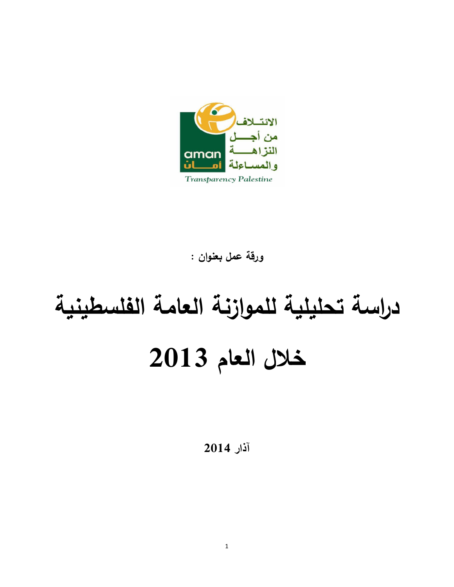

ورقة عمل بعنوان :

# دراسة تحليلية للموازنة العامة الفلسطينية خلال العام 2013

آذار 2014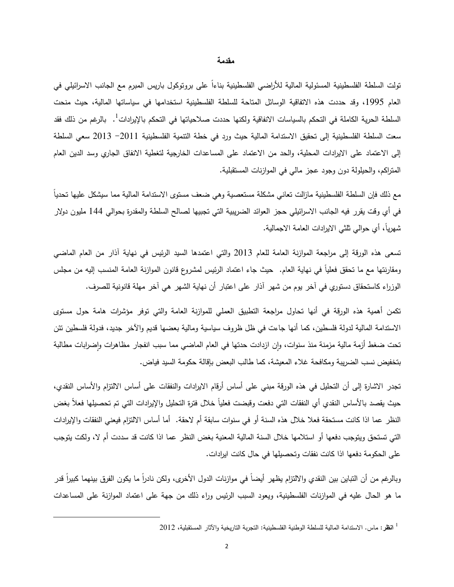#### مقدمة

تولت السلطة الفلسطينية المسئولية المالية للأراضيي الفلسطينية بناءاً على برونوكول باريس المبرم مع الجانب الاسرائيلي في العام 1995، وقد حددت هذه الاتفاقية الوسائل المناحة للسلطة الفلسطينية استخدامها في سياساتها المالية، حيث منحت السلطة الحرية الكاملة في التحكم بالسياسات الانفاقية ولكنها حددت صلاحياتها في التحكم بالإيرادات<sup>1</sup>. بالرغم من ذلك فقد سعت السلطة الفلسطينية إلى تحقيق الاستدامة المالية حيث ورد في خطة النتمية الفلسطينية 2011 – 2013 سعى السلطة إلى الاعتماد على الايرادات المحلية، والحد من الاعتماد على المساعدات الخارجية لتغطية الانفاق الجاري وسد الدين العام المتراكم، والحيلولة دون وجود عجز مالي في الموازنات المستقبلية.

مع ذلك فإن السلطة الفلسطينية مازالت تعانى مشكلة مستعصية وهي ضعف مستوى الاستدامة المالية مما سيشكل عليها تحديآ في أي وقت يقرر فيه الجانب الاسرائيلي حجز العوائد الضريبية التي تجبيها لصالح السلطة والمقدرة بحوالي 144 مليون دولار شهرياً، أي حوالبي ثلثي الايرادات العامة الاجمالية.

تسعى هذه الورقة إلى مراجعة الموازنة العامة للعام 2013 والتي اعتمدها السيد الرئيس في نهاية أذار من العام الماضي ومقارنتها مع ما تحقق فعلياً في نهاية العام. حيث جاء اعتماد الرئيس لمشروع قانون الموازنة العامة المنسب إليه من مجلس الوزراء كاستحقاق دستوري في آخر يوم من شهر آذار على اعتبار أن نهاية الشهر هي آخر مهلة قانونية للصرف.

نكمن أهمية هذه الورقة في أنها تحاول مراجعة التطبيق العملي للموازنة العامة والتي نوفر مؤشرات هامة حول مستوى الاستدامة المالية لدولة فلسطين، كما أنها جاءت في ظل ظروف سياسية ومالية بعضها قديم والآخر جديد، فدولة فلسطين نئن تحت ضغط أزمة مالية مزمنة منذ سنوات، وإن ازدادت حدتها في العام الماضي مما سبب انفجار مظاهرات وإضرابات مطالبة بتخفيض نسب الضريبة ومكافحة غلاء المعيشة، كما طالب البعض بإقالة حكومة السيد فياض.

تجدر الاشارة إلى أن التحليل في هذه الورقة مبنى على أساس أرقام الايرادات والنفقات على أساس الالتزام والأساس النقدي، حيث يقصد بالأساس النقدي أي النفقات التـي دفعت وقبضت فعلياً خلال فترة النحليل والإيرادات التـي تم تحصيلها فعلأ بغض النظر عما اذا كانت مستحقة فعلا خلال هذه السنة أو في سنوات سابقة أم لاحقة. أما أساس الالتزام فيعني النفقات والإيرادات التي تستحق ويتوجب دفعها أو استلامها خلال السنة المالية المعنية بغض النظر عما اذا كانت قد سددت أم لا، ولكت يتوجب على الحكومة دفعها اذا كانت نفقات وتحصبلها في حال كانت ايرادات.

وبالرغم من أن النباين بين النقدي والالتزام يظهر أيضاً في موازنات الدول الأخرى، ولكن نادراً ما يكون الفرق بينهما كبيراً قدر ما هو الحال عليه في الموازنات الفلسطينية، ويعود السبب الرئيس وراء ذلك من جهة على اعتماد الموازنة على المساعدات

<sup>&</sup>lt;sup>1</sup> ا**نظ**ر : ماس . الاستدامة المالية للسلطة الوطنية الفلسطينية: التجربة التاريخية والآثار المستقبلية، 2012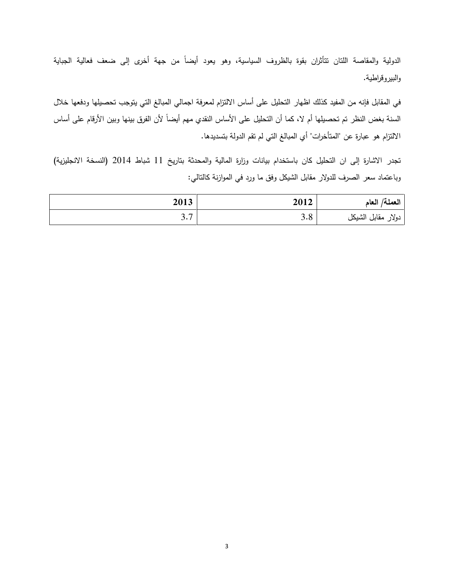الدولية والمقاصة اللتان تتأثران بقوة بالظروف السياسية، وهو يعود أيضاً من جهة أخرى إلى ضعف فعالية الجباية والبيروقراطية.

في المقابل فإنه من المفيد كذلك اظهار التحليل على أساس الالتزام لمعرفة اجمالي المبالغ التي يتوجب تحصيلها ودفعها خلال السنة بغض النظر تم تحصيلها أم لا، كما أن التحليل على الأساس النقدي مهم أيضاً لأن الفرق بينها وبين الأرقام على أساس الالتزام هو عبارة عن "المتأخرات" أي المبالغ التي لم تقم الدولة بتسديدها.

تجدر الاشارة إلى ان التحليل كان باستخدام بيانات وزارة المالية والمحدثة بتاريخ 11 شباط 2014 (النسخة الانجليزية) وباعتماد سعر الصرف للدولار مقابل الشيكل وفق ما ورد في الموازنة كالنالبي:

| العملة/ العام      | 2012 | 2013                   |
|--------------------|------|------------------------|
| دولار مقابل الشيكل | 3.8  | $\sim$ $\sim$<br>J • 1 |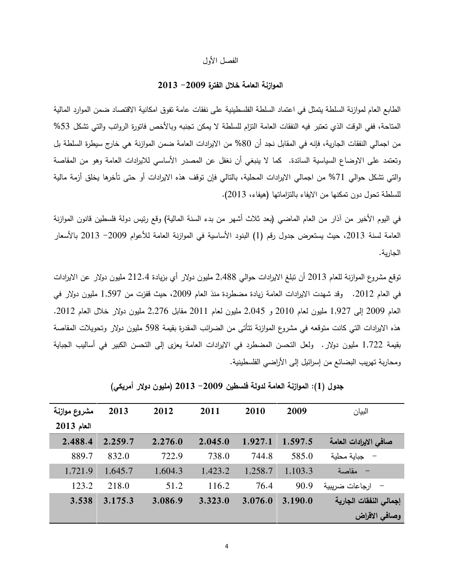#### الفصل الأول

# الموازنة العامة خلال الفترة 2009– 2013

الطابع العام لموازنة السلطة يتمثَّل في اعتماد السلطة الفلسطينية على نفقات عامة تفوق امكانية الاقتصاد ضمن الموارد المالية المتاحة، ففي الوقت الذي تعتبر فيه النفقات العامة التزام للسلطة لا يمكن تجنبه وبالأخص فاتورة الرواتب والتي تشكل 53% من اجمالي النفقات الجارية، فإنه في المقابل نجد أن 80% من الايرادات العامة ضمن الموازنة هي خارج سيطرة السلطة بل وتعتمد على الاوضاع السياسية السائدة. كما لا ينبغي أن نغفل عن المصدر الأساسي للايرادات العامة وهو من المقاصة والتي تشكل حوالي 71% من اجمالي الايرادات المحلية، بالنالي فإن توقف هذه الايرادات أو حتى تأخرها يخلق أزمة مالية للسلطة تحول دون تمكنها من الايفاء بالنزاماتها (هيفاء، 2013).

في اليوم الأخير من أذار من العام الماضـي (بعد ثلاث أشـهر من بدء السنة المالية) وقع رئيس دولة فلسطين قانون الموازنة العامة لسنة 2013، حيث يستعرض جدول رقم (1) البنود الأساسية في الموازنة العامة للأعوام 2009– 2013 بالأسعار الجارية.

توقع مشروع الموازنة للعام 2013 أن تبلغ الايرادات حوالبي 2,488 مليون دولار أي بزيادة 212.4 مليون دولار عن الايرادات في العام 2012. وقد شهدت الايرادات العامة زيادة مضطردة منذ العام 2009، حيث قفزت من 1,597 مليون دولار في العام 2009 إلى 1,927 مليون لعام 2010 و 2,045 مليون لعام 2011 مقابل 2,276 مليون دولار خلال العام 2012. هذه الايرادات التـي كانت متوقعه فـي مشروع الموازنـة نتأتـي من الضـرائب المقدرة بقيمـة 598 مليون دولار وتـحويلات المقاصـة بقيمة 1,722 مليون دولار . ولعل التحسن المضطرد في الايرادات العامة يعزى إلى التحسن الكبير في أساليب الجباية ومحاربة تهريب البضائع من إسرائيل إلى الأراضـي الفلسطينية.

| مشروع موازنة | 2013    | 2012    | 2011    | 2010    | 2009    | البيان                 |
|--------------|---------|---------|---------|---------|---------|------------------------|
| $2013$ العام |         |         |         |         |         |                        |
| 2,488.4      | 2,259.7 | 2,276.0 | 2,045.0 | 1,927.1 | 1,597.5 | صافي الايرادات العامة  |
| 889.7        | 832.0   | 722.9   | 738.0   | 744.8   | 585.0   | جباية محلية            |
| 1,721.9      | 1,645.7 | 1,604.3 | 1,423.2 | 1,258.7 | 1,103.3 | – مقاصبة               |
| 123.2        | 218.0   | 51.2    | 116.2   | 76.4    | 90.9    | – ارجاعات ضربيبة       |
| 3,538        | 3,175.3 | 3,086.9 | 3,323.0 | 3,076.0 | 3,190.0 | إجمالي النفقات الجارية |
|              |         |         |         |         |         | وصافى الاقراض          |

جدول (1): الموازنـة الـعامـة لدولـة فلسطين 2009− 2013 (مليون دولار أمريكي)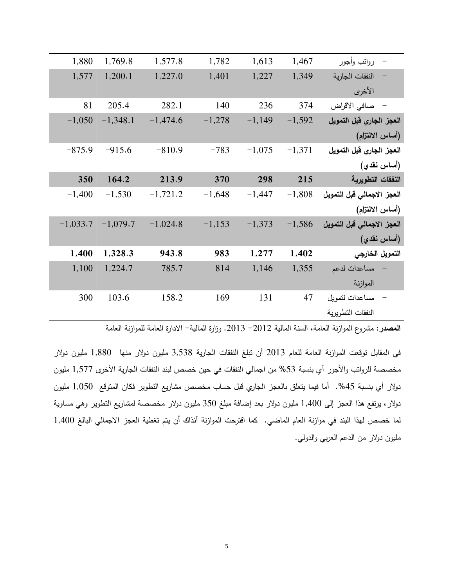| رواتب وأجور                | 1,467    | 1,613    | 1,782    | 1,577.8    | 1,769.8    | 1,880      |
|----------------------------|----------|----------|----------|------------|------------|------------|
| النفقات الجارية            | 1,349    | 1,227    | 1,401    | 1,227.0    | 1,200.1    | 1,577      |
| الأخرى                     |          |          |          |            |            |            |
| – صافي الاقراض             | 374      | 236      | 140      | 282.1      | 205.4      | 81         |
| العجز الجاري قبل التمويل   | $-1,592$ | $-1,149$ | $-1,278$ | $-1,474.6$ | $-1,348.1$ | $-1,050$   |
| (أساس الالتزام)            |          |          |          |            |            |            |
| العجز الجاري قبل التمويل   | $-1,371$ | $-1,075$ | $-783$   | $-810.9$   | $-915.6$   | $-875.9$   |
| (أساس نقدي)                |          |          |          |            |            |            |
| النفقات التطويرية          | 215      | 298      | 370      | 213.9      | 164.2      | 350        |
| العجز الاجمالي قبل التمويل | $-1,808$ | $-1,447$ | $-1,648$ | $-1,721.2$ | $-1,530$   | $-1,400$   |
| (أساس الالتزام)            |          |          |          |            |            |            |
| العجز الاجمالي قبل التمويل | $-1,586$ | $-1,373$ | $-1,153$ | $-1,024.8$ | $-1,079.7$ | $-1,033.7$ |
| (أساس نقدي)                |          |          |          |            |            |            |
| التمويل الخارجي            | 1,402    | 1,277    | 983      | 943.8      | 1,328.3    | 1,400      |
| مساعدات لدعم               | 1,355    | 1,146    | 814      | 785.7      | 1,224.7    | 1,100      |
| الموازنة                   |          |          |          |            |            |            |
| مساعدات لتمويل             | 47       | 131      | 169      | 158.2      | 103.6      | 300        |
| النفقات التطويرية          |          |          |          |            |            |            |

المصدر: مشروع الموازنة العامة، السنة المالية 2012– 2013. وزارة المالية- الادارة العامة للموازنة العامة

في المقابل نوقعت الموازنة العامة للعام 2013 أن نتلغ النفقات الجارية 3,538 مليون دولار منها 1,880 مليون دولار مخصصة للرواتب والأجور أي بنسبة 53% من اجمالي النفقات في حين خصص لبند النفقات الجارية الأخرى 1,577 مليون دولار أي بنسبة 45%. أما فيما يتعلق بالعجز الجاري قبل حساب مخصص مشاريع النطوير فكان المتوقع 1,050 مليون دولار ، برتفع هذا العجز إلى 1,400 مليون دولار بعد إضافة مبلغ 350 مليون دولار مخصصة لمشاريع النطوير وهي مساوية لما خصص لهذا البند في موازنة العام الماضي. كما اقترحت الموازنة آنذاك أن يتم تغطية العجز الاجمالي البالغ 1,400 مليون دولار من الدعم العربي والدولي.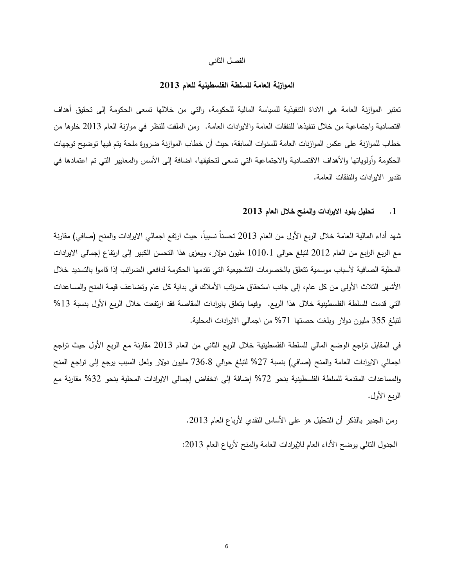#### الفصل الثاني

# الموازنية العامة للسلطة الفلسطينية للعام 2013

تعتبر الموازنة العامة هي الاداة التتفيذية للسياسة المالية للحكومة، والتي من خلالها تسعى الحكومة إلى تحقيق أهداف اقتصادية واجتماعية من خلال تنفيذها للنفقات العامة والايرادات العامة. ومن الملفت للنظر فـي موازنـة العام 2013 خلوها من خطاب للموازنة على عكس الموازنات العامة للسنوات السابقة، حيث أن خطاب الموازنة ضرورة ملحة يتم فيها توضيح توجهات الحكومة وأولوياتها والأهداف الاقتصادية والاجتماعية التي تسعى لتحقيقها، اضافة إلى الأسس والمعايير التي تم اعتمادها في نقدير الايرادات والنفقات العامة.

## 1. تحليل بنود الإيرادات والمنح خلال العام 2013

شهد أداء المالية العامة خلال الربع الأول من العام 2013 تحسناً نسبياً، حيث ارتفع اجمالي الايرادات والمنح (صافي) مقارنة مع الربع الرابع من العام 2012 لتبلغ حوالي 1010.1 مليون دولار ، ويعزي هذا التحسن الكبير إلى ارتفاع إجمالي الايرادات المحلية الصافية لأسباب موسمية تتعلق بالخصومات التشجيعية التي تقدمها الحكومة لدافعي الضرائب إذا قاموا بالتسديد خلال الأشهر الثلاث الأولى من كل عام، إلى جانب استحقاق ضرائب الأملاك في بداية كل عام وتضاعف قيمة المنح والمساعدات التي قدمت للسلطة الفلسطينية خلال هذا الربع. وفيما يتعلق بايرادات المقاصة فقد ارتفعت خلال الربع الأول بنسبة 13% لتبلغ 355 مليون دولار وبلغت حصنها 71% من اجمالـي الايرادات المحلية.

في المقابل نزاجع الوضع المالي للسلطة الفلسطينية خلال الربع الثاني من العام 2013 مقارنة مع الربع الأول حيث نزاجع اجمالي الايرادات العامة والمنح (صافي) بنسبة 27% لتبلغ حوالي 736.8 مليون دولار ولعل السبب يرجع إلىي تراجع المنح والمساعدات المقدمة للسلطة الفلسطينية بنحو 72% إضافة إلى انخفاض إجمالي الايرادات المحلية بنحو 32% مقارنة مع الربع الأول.

ومن الجدير بالذكر أن النحليل هو على الأساس النقدي لأرباع العام 2013.

الجدول النالي يوضح الأداء العام للإيرادات العامة والمنح لأرباع العام 2013: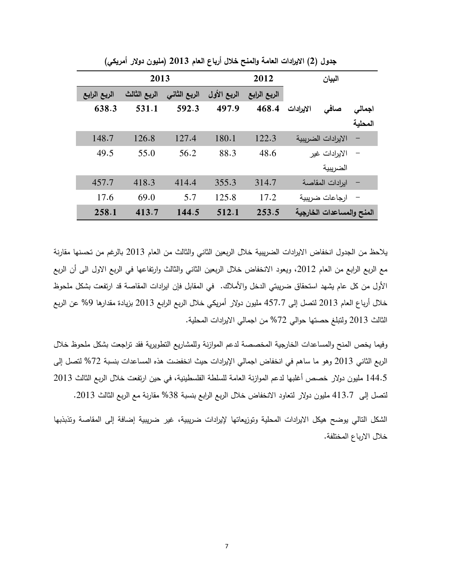|              | 2013         |              |             | 2012         |           | البيان                    |         |
|--------------|--------------|--------------|-------------|--------------|-----------|---------------------------|---------|
| الربع الرابع | الربع الثالث | الربع الثاني | الربع الأول | الربع الرابع |           |                           |         |
| 638.3        | 531.1        | 592.3        | 497.9       | 468.4        | الايرادات | صافى                      | اجمالى  |
|              |              |              |             |              |           |                           | المحلية |
| 148.7        | 126.8        | 127.4        | 180.1       | 122.3        |           | الايرادات الضريبية        |         |
| 49.5         | 55.0         | 56.2         | 88.3        | 48.6         |           | الايرادات غير             |         |
|              |              |              |             |              |           | الضريبية                  |         |
| 457.7        | 418.3        | 414.4        | 355.3       | 314.7        |           | ايرادات المقاصة           |         |
| 17.6         | 69.0         | 5.7          | 125.8       | 17.2         |           | ارجاعات ضربيبة            |         |
| 258.1        | 413.7        | 144.5        | 512.1       | 253.5        |           | المنح والمساعدات الخارجية |         |

جدول (2) الايرادات العامة والمنح خلال أرباع العام 2013 (مليون دولار أمريكي)

يلاحظ من الجدول انخفاض الايرادات الضريبية خلال الربعين الثانـي والثالث من العام 2013 بالرغم من تحسنها مقارنـة مع الربع الرابع من العام 2012، ويعود الانخفاض خلال الربعين الثاني والثالث وارتفاعها في الربع الاول الي أن الربع الأول من كل عام يشهد استحقاق ضريبتي الدخل والأملاك. في المقابل فإن ايرادات المقاصـة قد ارتفعت بشكل ملحوظ خلال أرباع العام 2013 لنصل إلى 457.7 مليون دولار أمريكي خلال الربع الرابع 2013 بزيادة مقدارها 9% عن الربع الثالث 2013 ولتبلغ حصنها حوالي 72% من اجمالي الايرادات المحلية.

وفيما يخص المنح والمساعدات الخارجية المخصصة لدعم الموازنة وللمشاريع التطويرية فقد تراجعت بشكل ملحوظ خلال الربع الثاني 2013 وهو ما ساهم في انخفاض اجمالي الإيرادات حيث انخفضت هذه المساعدات بنسبة 72% لتصل إلى 144.5 مليون دولار خصص أغلبها لدعم الموازنة العامة للسلطة الفلسطينية، في حين ارتفعت خلال الربع الثالث 2013 لتصل إلى 413.7 مليون دولار لتعاود الانخفاض خلال الربع الرابع بنسبة 38% مقارنة مع الربع الثالث 2013.

الشكل التالي يوضح هيكل الايرادات المحلية وتوزيعاتها لإيرادات ضريبية، غير ضريبية إضافة إلى المقاصة وتذبذبها خلال الارباع المختلفة.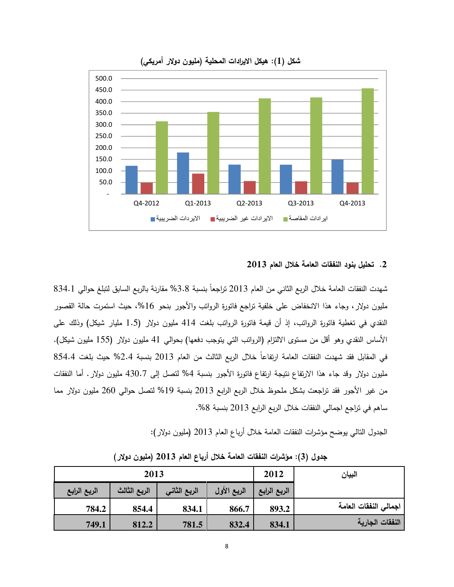

## شكل (1): هيكل الايرادات المحلية (مليون دولار أمريكي)

#### 2. تحليل بنود النفقات العامة خلال العام 2013

شهدت النفقات العامة خلال الربع الثاني من العام 2013 تراجعاً بنسبة 3.8% مقارنة بالربع السابق لتبلغ حوالي 834.1 مليون دولار ، وجاء هذا الانخفاض على خلفية تراجع فاتورة الرواتب والأجور بنحو 16%، حيث استمرت حالة القصور النقدي في تغطية فاتورة الرواتب، إذ أن قيمة فاتورة الرواتب بلغت 414 مليون دولار (1.5 مليار شيكل) وذلك على الأساس النقدي وهو أقل من مستوى الالتزام (الروانب النبي ينوجب دفعها) بحوالبي 41 مليون دولار (155 مليون شيكل). في المقابل فقد شهدت النفقات العامة ارتفاعاً خلال الربع الثالث من العام 2013 بنسبة 2.4% حيث بلغت 854.4 مليون دولار وقد جاء هذا الارتفاع نتيجة ارتفاع فاتورة الأجور بنسبة 4% لتصل إلى 430.7 مليون دولار . أما النفقات من غير الأجور فقد تراجعت بشكل ملحوظ خلال الربع الرابع 2013 بنسبة 19% لنصل حوالـي 260 مليون دولار مما ساهم في تراجع اجمالي النفقات خلال الربع الرابع 2013 بنسبة 8%.

الـجدول النـّالـي يوضـح مؤشرات النفقات الـعامـة خـلال أربـاع الـعام 2013 (مليون دولار):

| البيان                | 2012         | 2013        |              |              |              |
|-----------------------|--------------|-------------|--------------|--------------|--------------|
|                       | الربع الرابع | الربع الأول | الربع الثاني | الربع الثالث | الربع الرابع |
| اجمالى النفقات العامة | 893.2        | 866.7       | 834.1        | 854.4        | 784.2        |
| النفقات الجارية       | 834.1        | 832.4       | 781.5        | 812.2        | 749.1        |

جدول (3): مؤشرات النفقات العامة خلال أرباع العام 2013 (مليون دولار)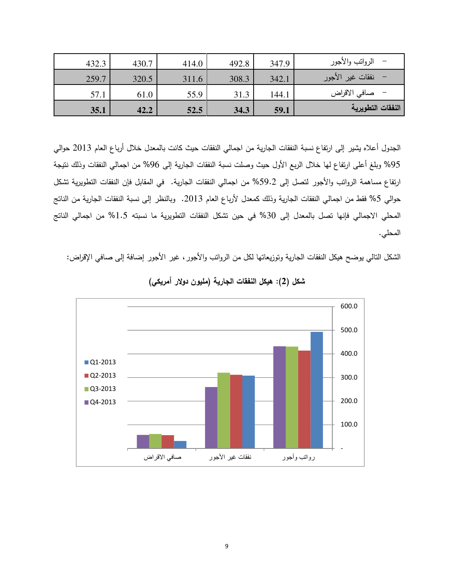| 35.1  | 42.2  | 52.5  | 34.3  | 59.1  | النفقات التطويرية    |
|-------|-------|-------|-------|-------|----------------------|
| 57.1  | 61.0  | 55.9  | 31.3  | 144.1 | –    صافي الاقراض    |
| 259.7 | 320.5 | 311.6 | 308.3 | 342.1 | –   نفقات غير الأجور |
| 432.3 | 430.7 | 414.0 | 492.8 | 347.9 | الرواتب والأجور      |

الجدول أعلاه يشير إلى ارتفاع نسبة النفقات الجارية من اجمالي النفقات حيث كانت بالمعدل خلال أرباع العام 2013 حوالي 95% وبلغ أعلى ارتفاع لها خلال الربع الأول حيث وصلت نسبة النفقات الجارية إلى 96% من اجمالـي النفقات وذلك نتيجة ارتفاع مساهمة الروانب والأجور لنصل إلى 59.2% من اجمالي النفقات الجارية. في المقابل فإن النفقات النطويرية نشكل حوالي 5% فقط من اجمالي النفقات الجارية وذلك كمعدل لأرباع العام 2013. وبالنظر إلى نسبة النفقات الجارية من الناتج المحلي الاجمالي فإنها تصل بالمعدل إلى 30% في حين تشكل النفقات التطويرية ما نسبته 1.5% من اجمالي الناتج المحلي.

الشكل النالـي يوضـح هيكل النفقات الـجارية وتوزيعاتها لكل من الرواتب والأجور ، غير الأجور إضـافة إلـي صـافـي الإقراض:



شكل (2): هيكل النفقات الجارية (مليون دولار أمريكي)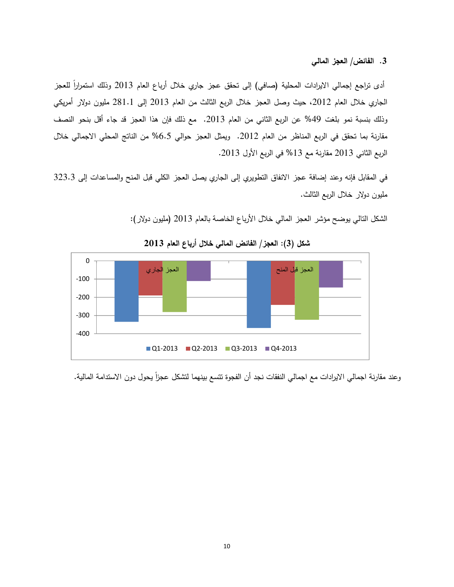3. الفائض/ العجز المالي

أدى تراجع إجمالي الايرادات المحلية (صافي) إلى تحقق عجز جاري خلال أرباع العام 2013 وذلك استمراراً للعجز الجاري خلال العام 2012، حيث وصل العجز خلال الربع الثالث من العام 2013 إلى 281.1 مليون دولار أمريكي وذلك بنسبة نمو بلغت 49% عن الربع الثاني من العام 2013. مع ذلك فإن هذا العجز قد جاء أقل بنحو النصف مقارنة بما تحقق في الربع المناظر من العام 2012. ويمثل العجز حوالي 6.5% من الناتج المحلي الاجمالي خلال الربع الثاني 2013 مقارنة مع 13% في الربع الأول 2013.

في المقابل فإنه وعند إضافة عجز الانفاق التطويري إلى الجاري يصل العجز الكلي قبل المنح والمساعدات إلى 323.3 مليون دولار خلال الربـع الثالث.

الشكل النالي يوضح مؤشر العجز المالي خلال الأرباع الخاصة بالعام 2013 (مليون دولار):



شكل (3): العجز/ الفائض المالي خلال أرباع العام 2013

وعند مقارنة اجمالي الايرادات مع اجمالي النفقات نجد أن الفجوة تتسع بينهما لتشكل عجزاً يحول دون الاستدامة المالية.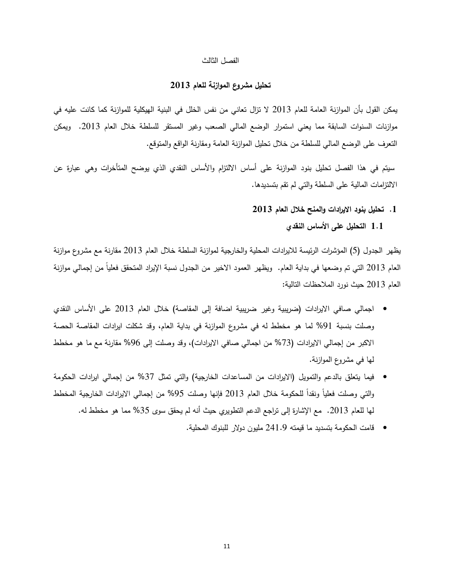#### الفصل الثالث

# تحليل مشروع الموازنة للعام 2013

يمكن القول بأن الموازنة العامة للعام 2013 لا تزال تعاني من نفس الخلل في البنية الهيكلية للموازنة كما كانت عليه في موازنات السنوات السابقة مما يعني استمرار الوضع المالي الصعب وغير المستقر للسلطة خلال العام 2013. ويمكن النعرف على الوضع المالـي للسلطة من خلال نـحليل الموازنـة الـعامـة ومقارنـة الواقـع والمنوقـع.

سيتم في هذا الفصل تحليل بنود الموازنة على أساس الالتزام والأساس النقدي الذي يوضح المتأخرات وهي عبارة عن الالنزامات المالية على السلطة والتبي لم نقم بتسديدها.

- 1. تحليل بنود الإيرادات والمنح خلال العام 2013
	- 1 .1 التحليل على الأساس النقدي

يظهر الجدول (5) المؤشرات الرئيسة للايرادات المحلية والخارجية لموازنة السلطة خلال العام 2013 مقارنة مع مشروع موازنة العام 2013 التي تم وضعها في بداية العام. ويظهر العمود الاخير من الجدول نسبة الإيراد المتحقق فعلياً من إجمالي موازنة العام 2013 حيث نورد الملاحظات النالية:

- اجمالي صافي الايرادات (ضريبية وغير ضريبية اضافة إلى المقاصة) خلال العام 2013 على الأساس النقدي وصلت بنسبة 91% لما هو مخطط له في مشروع الموازنة في بداية العام، وقد شكلت ايرادات المقاصة الحصة الاكبر من إجمالي الايرادات (73% من اجمالي صافي الايرادات)، وقد وصلت إلى 96% مقارنة مع ما هو مخطط لـها فـي مشروع الموازنـة.
- فيما يتعلق بالدعم والتمويل (الايرادات من المساعدات الخارجية) والتي تمثل 37% من إجمالي ايرادات الحكومة والتي وصلت فعلياً ونقداً للحكومة خلال العام 2013 فإنها وصلت 95% من إجمالي الايرادات الخارجية المخطط لمها للعام 2013. مع الإشارة إلى نزاجع الدعم النطويري حيث أنه لم يحقق سوى 35% مما هو مخطط له.
	- قامت الحكومة بتسديد ما قيمته 241.9 مليون دولار للبنوك المحلية.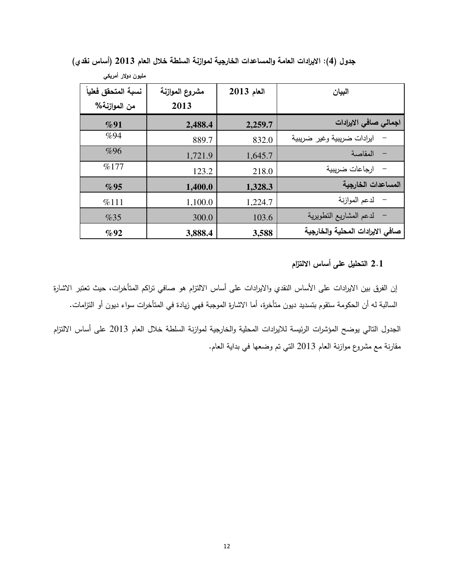| مليون دولار أمريكي  |                |              |                                     |
|---------------------|----------------|--------------|-------------------------------------|
| نسبة المتحقق فعلياً | مشروع الموازنة | $2013$ العام | البيان                              |
| من الموازنـة%       | 2013           |              |                                     |
| $\%91$              | 2,488.4        | 2,259.7      | اجمالى صافى الايرادات               |
| %94                 | 889.7          | 832.0        | ايرادات ضريبية وغير ضريبية          |
| %96                 | 1,721.9        | 1,645.7      | المقاصة<br>$\overline{\phantom{0}}$ |
| %177                | 123.2          | 218.0        | ارجاعات ضريبية                      |
| %95                 | 1,400.0        | 1,328.3      | المساعدات الخارجية                  |
| %111                | 1,100.0        | 1,224.7      | لدعم الموازنة                       |
| %35                 | 300.0          | 103.6        | لدعم المشاريع التطويرية             |
| $\%92$              | 3,888.4        | 3,588        | صافي الايرادات المحلية والخارجية    |

جدول (4): الإيرادات العامة والمساعدات الخارجية لموازنة السلطة خلال العام 2013 (أساس نقدي)

# 2.1 التحليل على أساس الالتزام

إن الفرق بين الايرادات على الأساس النقدي والايرادات على أساس الالتزام هو صافى نزاكم المتأخرات، حيث تعتبر الاشارة السالبة له أن الحكومة ستقوم بتسديد ديون متأخرة، أما الاشارة الموجبة فهي زيادة في المتأخرات سواء ديون أو التزامات.

الجدول النالي بوضح المؤشرات الرئيسة للايرادات المحلية والخارجية لموازنة السلطة خلال العام 2013 على أساس الالنزام مقارنة مع مشروع موازنة العام 2013 التي تم وضعها في بداية العام.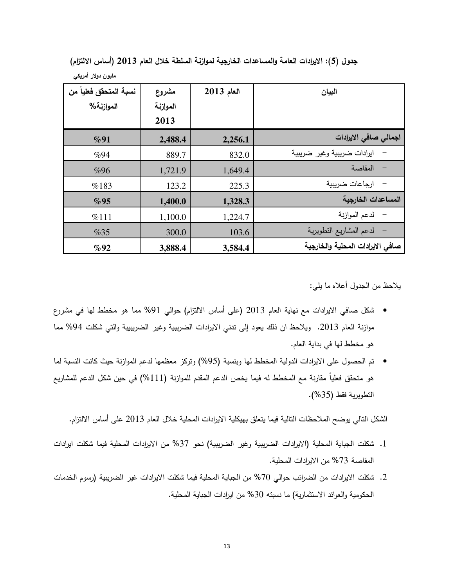جدول (5): الايرادات العامة والمساعدات الخارجية لموازنة السلطة خلال العام 2013 (أساس الالتزام)

| نسبة المتحقق فعلياً من<br>الموازنة% | مشروع<br>الموازنة<br>2013 | $2013$ العام | البيان                           |
|-------------------------------------|---------------------------|--------------|----------------------------------|
| %91                                 | 2,488.4                   | 2,256.1      | اجمالى صافى الإيرادات            |
| %94                                 | 889.7                     | 832.0        | ايرادات ضريبية وغير ضريبية       |
| %96                                 | 1,721.9                   | 1,649.4      | المقاصة                          |
| %183                                | 123.2                     | 225.3        | ارجاعات ضربيبة                   |
| %95                                 | 1,400.0                   | 1,328.3      | المساعدات الخارجية               |
| %111                                | 1,100.0                   | 1,224.7      | لدعم الموازنة                    |
| %35                                 | 300.0                     | 103.6        | لدعم المشاريع التطويرية          |
| %92                                 | 3,888.4                   | 3,584.4      | صافى الايرادات المحلية والخارجية |

مليون دولار أمريك*ي* 

يلاحظ من الجدول أعلاه ما يلي:

- شكل صافي الايرادات مع نهاية العام 2013 (على أساس الالنزام) حوالي 91% مما هو مخطط لها في مشروع موازنة العام 2013. ويلاحظ ان ذلك يعود إلى ندني الايرادات الضريبية وغير الضريبيبة والتي شكلت 94% مما هو مخطط لها في بداية العام.
- تم الحصول على الايرادات الدولية المخطط لها وبنسبة (95%) وتركز معظمها لدعم الموازنة حيث كانت النسبة لما هو متحقق فعلياً مقارنة مع المخطط له فيما يخص الدعم المقدم للموازنة (111%) في حين شكل الدعم للمشاريع التطويرية فقط (35%).

الشكل التالي يوضح الملاحظات التالية فيما يتعلق بهيكلية الايرادات المحلية خلال العام 2013 على أساس الالتزام.

- 1. شكلت الجباية المحلية (الايرادات الضريبية وغير الضريبية) نحو 37% من الايرادات المحلية فيما شكلت ايرادات المقاصة 73% من الايرادات المحلية.
- 2. شكلت الايرادات من الضرائب حوالي 70% من الجباية المحلية فيما شكلت الايرادات غير الضريبية (رسوم الخدمات الحكومية والعوائد الاستثمارية) ما نسبته 30% من ايرادات الجباية المحلية.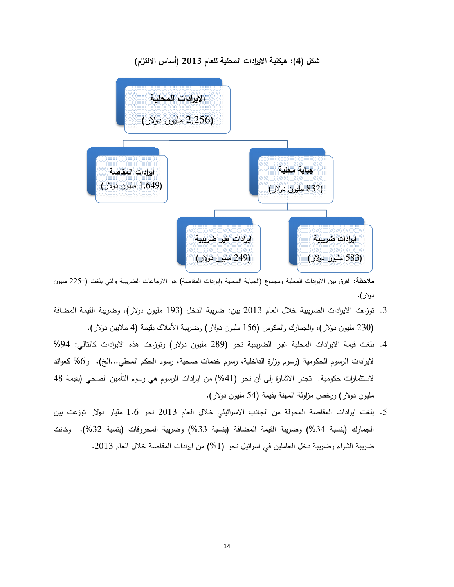

شكل (4): هيكلية الايرادات المحلية للعام 2013 (أساس الالتزام)

ملاحظة: الفرق بين الايرادات المحلية ومجموع (الجباية المحلية وإيرادات المقاصة) هو الارجاعات الضريبية والتي بلغت (–225 مليون دولار ).

- 3. توزعت الايرادات الضريبية خلال العام 2013 بين: ضريبة الدخل (193 مليون دولار)، وضريبة القيمة المضافة (230 مليون دولار)، والجمارك والمكوس (156 مليون دولار) وضريبة الأملاك بقيمة (4 ملايين دولار).
- 4. بلغت قيمة الايرادات المحلية غير الضريبية نحو (289 مليون دولار) وتوزعت هذه الايرادات كالنالي: 94% لايرادات الرسوم الحكومية (رسوم وزارة الداخلية، رسوم خدمات صحية، رسوم الحكم المحلي…الخ)، و6% كعوائد لاستثمارات حكومية. تجدر الاشارة إلى أن نحو (41%) من ايرادات الرسوم هي رسوم التأمين الصحي (بقيمة 48 · مليون دولار ) ورخص مزاولة المـهنة بقيمة (54 مليون دولار ). الرسوم الحكومية<br>ت حكومية. تجدر<br>لار) ورخص مزاولا
- 5. بلغت ايرادات المقاصة المحولة من الجانب الاسرائيلي خلال العام 2013 نحو 1.6 مليار دولار توزعت بين الجمارك (بنسبة 34%) وضريبة القيمة المضافة (بنسبة 33%) وضريبة المحروقات (بنسبة 32%). وكانت . 2013 
# 1, 2
5 "+ 7 
# 7 (% )1 ' - 7
# ,+ D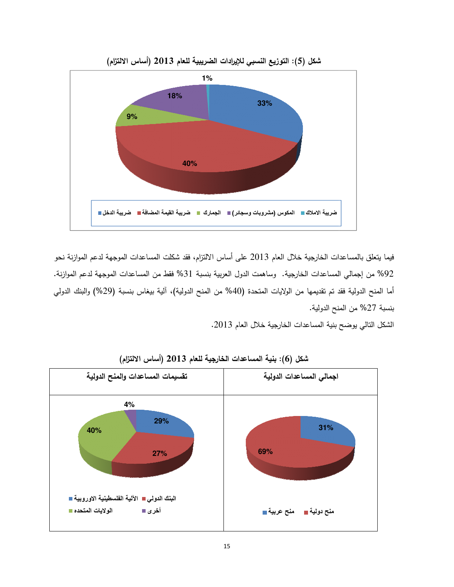

شكل (5): التوزيع النسبي للإيرادات الضريبية للعام 2013 (أساس الالتزام)

فيما يتعلق بالمساعدات الخارجية خلال العام 2013 على أساس الالتزام، فقد شكلت المساعدات الموجهة لدعم الموازنة نحو فيما يتعلق بالمساعدات الخارجية خلال العام 2013 على أساس الالتزام، فقد شكلت المساعدات الموجهة لدعم الموازنة نحو<br>92% من إجمالي المساعدات الخارجية. وساهمت الدول العربية بنسبة 31% فقط من المساعدات الموجهة لدعم الموازنة. أما المنح الدولية فقد تم تقديمها من الولايات المتحدة (40% من المنح الدولية)، ألية بيغاس بنسبة (29%) والبنك الدولمي أما المنح الدولية فقد تم تقديمها<br>بنسبة 27% من المنح الدولية.

الشكل التالي يوضح بنية المساعدات الخارجية خلال العام 2013.<br>-



شكل (6): بنية المساعدات الخارجية للعام 2013 (أساس الالتزام)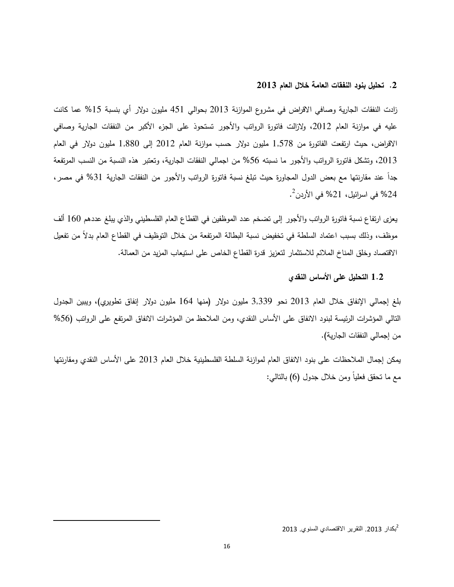# 2. تحليل بنود النفقات العامة خلال العام 2013

زادت النفقات الجارية وصـافـي الاقراض فـي مشروع الموازنـة 2013 بـحوالـي 451 مليون دولار أي بنسبة 15% عما كانت عليه في موازنة العام 2012، ولازالت فاتورة الرواتب والأجور تستحوذ على الجزء الأكبر من النفقات الجارية وصافي الاقراض، حيث ارتفعت الفاتورة من 1,578 مليون دولار حسب موازنة العام 2012 إلى 1,880 مليون دولار في العام 2013، وتشكل فاتورة الرواتب والأجور ما نسبته 56% من اجمالي النفقات الجارية، وتعتبر هذه النسبة من النسب المرتفعة جداً عند مقارنتها مع بعض الدول المجاورة حيث تبلغ نسبة فاتورة الرواتب والأجور من النفقات الجارية 31% في مصر ،  $^2$ % في اسرائيل، 21% في الأردن $^2$ .

يعزي ارتفاع نسبة فانورة الرواتب والأجور إلى تضخم عدد الموظفين في القطاع العام الفلسطيني والذي يبلغ عددهم 160 ألف موظف، وذلك بسبب اعتماد السلطة في تخفيض نسبة البطالة المرتفعة من خلال التوظيف في القطاع العام بدلاً من تفعيل الاقتصاد وخلق المناخ الملائم للاستثمار لتعزيز قدرة القطاع الخاص على استيعاب المزيد من العمالة.

#### 1.2 التحليل على الأساس النقدي

بلغ إجمالي الإنفاق خلال العام 2013 نحو 3,339 مليون دولار (منها 164 مليون دولار إنفاق تطويري)، ويبين الجدول النالـي المؤشرات الرئيسة لبنود الانفاق علـي الأساس النقدي، ومن الملاحظ من المؤشرات الانفاق المرتفع علـي الرواتب (56% من إجمالي النفقات الجارية).

يمكن إجمال الملاحظات على بنود الانفاق العام لموازنة السلطة الفلسطينية خلال العام 2013 على الأساس النقدي ومقارنتها مع ما نحقق فعلياً ومن خلال جدول (6) بالنالـي:

2 بكدار .2013 التقرير اقتصادي السنوي. 2013

 $\overline{a}$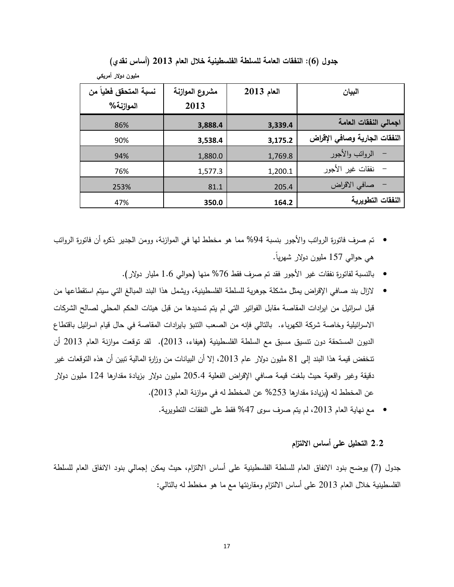| نسبة المتحقق فعلياً من | مشروع الموازنة | $2013$ العام | البيان                        |
|------------------------|----------------|--------------|-------------------------------|
| الموازنة%              | 2013           |              |                               |
| 86%                    | 3,888.4        | 3,339.4      | اجمالى النفقات العامة         |
| 90%                    | 3,538.4        | 3,175.2      | النفقات الجارية وصافى الإقراض |
| 94%                    | 1,880.0        | 1,769.8      | الرواتب والأجور               |
| 76%                    | 1,577.3        | 1,200.1      | نفقات غير الأجور              |
| 253%                   | 81.1           | 205.4        | صافى الاقراض                  |
| 47%                    | 350.0          | 164.2        | النفقات التطويرية             |

جدول (6): النفقات العامة للسلطة الفلسطينية خلال العام 2013 (أساس نقدى)

مليون دولار أمريكي

- تم صرف فاتورة الرواتب والأجور بنسبة 94% مما هو مخطط لها في الموازنة، وومن الجدير ذكره أن فاتورة الرواتب هي حوالبي 157 مليون دولار شهرياً.
	- بالنسبة لفاتورة نفقات غير الأجور فقد تم صرف فقط 76% منها (حوالي 1.6 مليار دولار).
- لازال بند صافي الإقراض يمثل مشكلة جوهرية للسلطة الفلسطينية، ويشمل هذا البند المبالغ التي سيتم استقطاعها من قبل اسرائيل من ايرادات المقاصة مقابل الفواتير التي لم يتم تسديدها من قبل هيئات الحكم المحلي لصالح الشركات الاسرائيلية وخاصة شركة الكهرباء. بالتالي فإنه من الصعب النتبؤ بايرادات المقاصة في حال قيام اسرائيل باقتطاع الديون المستحقة دون نتسيق مسبق مع السلطة الفلسطينية (هيفاء، 2013). لقد نوقعت موازنة العام 2013 أن تنخفض قيمة هذا البند إلى 81 مليون دولار عام 2013، إلا أن البيانات من وزارة المالية تبين أن هذه التوقعات غير دقيقة وغير واقعية حيث بلغت قيمة صافى الإقراض الفعلية 205.4 مليون دولار بزيادة مقدارها 124 مليون دولار عن المخطط له (بزيادة مقدارها 253% عن المخطط له في موازنة العام 2013).
	- مع نهاية العام 2013، لم يتم صرف سوى 47% فقط على النفقات النطويرية.

# 2.2 التحليل على أساس الالتزام

جدول (7) يوضح بنود الانفاق العام للسلطة الفلسطينية على أساس الالتزام، حيث يمكن إجمالي بنود الانفاق العام للسلطة الفلسطينية خلال العام 2013 على أساس الالتزام ومقارنتها مع ما هو مخطط له بالنالمي: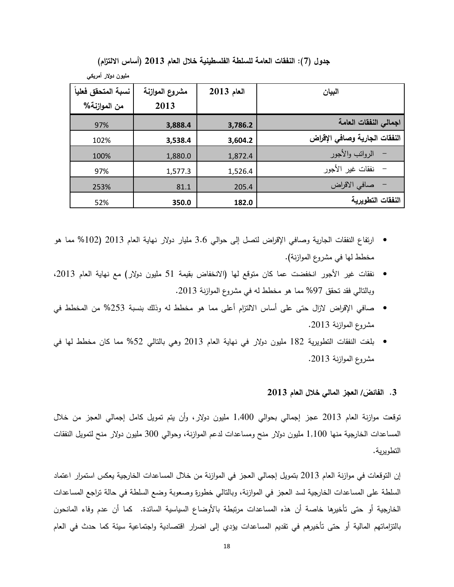جدول (7): النفقات العامة للسلطة الفلسطينية خلال العام 2013 (أساس الالتزام)

| نسبة المتحقق فعلياً | مشروع الموازنة | $2013$ العام | الييان                        |
|---------------------|----------------|--------------|-------------------------------|
| من الموازنة%        | 2013           |              |                               |
| 97%                 | 3,888.4        | 3,786.2      | اجمالى النفقات العامة         |
| 102%                | 3,538.4        | 3,604.2      | النفقات الجارية وصافى الإقراض |
| 100%                | 1,880.0        | 1,872.4      | الرواتب والأجور               |
| 97%                 | 1,577.3        | 1,526.4      | نفقات غير الأجور              |
| 253%                | 81.1           | 205.4        | صافى الاقراض                  |
| 52%                 | 350.0          | 182.0        | النفقات التطويرية             |

مليون دولار أمريك*ي* 

- ارتفاع النفقات الجارية وصافي الإقراض لتصل إلى حوالي 3.6 مليار دولار نهاية العام 2013 (102% مما هو مخطط لـها في مشروع الموازنـة).
- نفقات غير الأجور انخفضت عما كان متوقع لها (الانخفاض بقيمة 51 مليون دولار) مع نهاية العام 2013، وبالتالي فقد تحقق 97% مما هو مخطط له في مشروع الموازنة 2013.
- صافي الإقراض لازال حتى على أساس الالتزام أعلى مما هو مخطط له وذلك بنسبة 253% من المخطط في مشروع الموازنة 2013.
- بلغت النفقات التطويرية 182 مليون دولار في نهاية العام 2013 وهي بالتالي 52% مما كان مخطط لها في مشروع الموازنة 2013.

# 3. الفائض/ العجز المال*ي* خلال العام 2013

توقعت موازنة العام 2013 عجز إجمالي بحوالي 1,400 مليون دولار ، وأن يتم تمويل كامل إجمالي العجز من خلال المساعدات الخارجية منـها 1,100 مليون دولار منـح ومساعدات لدعم الموازنـة، وحوالـي 300 مليون دولار منـح لتمويل النفقات التطويرية.

إن التوقعات في موازنة العام 2013 بتمويل إجمالي العجز في الموازنة من خلال المساعدات الخارجية يعكس استمرار اعتماد السلطة على المساعدات الخارجية لسد العجز في الموازنة، وبالتالي خطورة وصعوبة وضع السلطة في حالة تراجع المساعدات الخارجية أو حتى تأخيرها خاصة أن هذه المساعدات مرتبطة بالأوضاع السياسية السائدة. كما أن عدم وفاء المانحون بالتزاماتهم المالية أو حتى تأخيرهم في تقديم المساعدات يؤدي إلى اضرار اقتصادية واجتماعية سيئة كما حدث في العام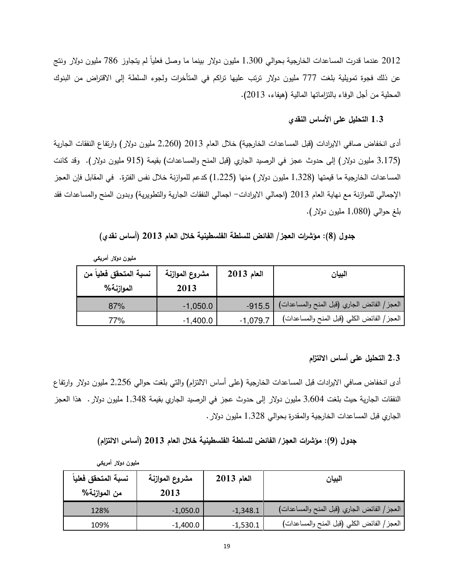2012 عندما قدرت المساعدات الخارجية بحوالي 1,300 مليون دولار بينما ما وصل فعلياً لم يتجاوز 786 مليون دولار ونتج عن ذلك فجوة تمويلية بلغت 777 مليون دولار ترتب عليها تراكم في المتأخرات ولجوء السلطة إلى الاقتراض من البنوك المحلية من أجل الوفاء بالنزاماتها المالية (هيفاء، 2013).

# 1 .3 التحليل على الأساس النقدي

أدى انخفاض صافي الايرادات (قبل المساعدات الخارجية) خلال العام 2013 (2,260 مليون دولار) وارتفاع النفقات الجارية (3,175 مليون دولار) إلى حدوث عجز في الرصيد الجاري (قبل المنح والمساعدات) بقيمة (915 مليون دولار). وقد كانت المساعدات الخارجية ما قيمتها (1,328 مليون دولار) منها (1,225) كدعم للموازنة خلال نفس الفترة. في المقابل فإن العجز الإجمالي للموازنة مع نهاية العام 2013 (اجمالي الايرادات– اجمالي النفقات الجارية والتطويرية) وبدون المنح والمساعدات فقد بلغ حوالبي (1,080 مليون دولار).

جدول (8): مؤشرات العجز/ الفائض للسلطة الفلسطينية خلال العام 2013 (أساس نقدى)

| نسبة المتحقق فعلياً من<br>الموازنة% | مشروع الموازنة<br>2013 | $2013$ العام | البيان                                       |
|-------------------------------------|------------------------|--------------|----------------------------------------------|
| 87%                                 | $-1,050.0$             | $-915.5$     | العجز / الفائض الجاري (قبل المنح والمساعدات) |
| 77%                                 | $-1,400.0$             | $-1,079.7$   | العجز/ الفائض الكلبي (قبل المنح والمساعدات)  |

مليون دولار أمريك*ي* 

## 2.3 التحليل على أساس الالتزام

أدى انخفاض صافـي الايرادات قبل المساعدات الخارجية (علـي أساس الالتزام) والتـي بلغت حوالـي 2,256 مليون دولار وارتفاع النفقات الجارية حيث بلغت 3,604 مليون دولار إلى حدوث عجز في الرصيد الجاري بقيمة 1,348 مليون دولار . هذا العجز الجاري قبل المساعدات الخارجية والمقدرة بحوالي 1,328 مليون دولار .

جدول (9): موَشرات العجز/ الفائض للسلطة الفلسطينية خلال العام 2013 (أساس الالتزام)

| نسبة المتحقق فعلياً<br>من الموازنـة% | مشروع الموازنة<br>2013 | $2013$ العام | البيان                                       |
|--------------------------------------|------------------------|--------------|----------------------------------------------|
| 128%                                 | $-1,050.0$             | $-1,348.1$   | العجز / الفائض الجاري (قبل المنح والمساعدات) |
| 109%                                 | $-1,400.0$             | $-1,530.1$   | العجز / الفائض الكلي (قبل المنح والمساعدات)  |

مليون دولار أمريك*ي*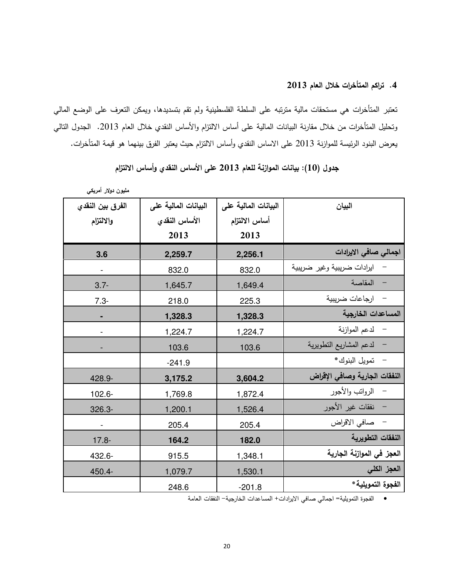4. تراكم المتأخرات خلال العام 2013

تعتبر المتأخرات هي مستحقات مالية مترتبه على السلطة الفلسطينية ولم تقم بتسديدها، ويمكن التعرف على الوضع المالي وتحليل المتأخرات من خلال مقارنة البيانات المالية على أساس الالتزام والأساس النقدي خلال العام 2013. الجدول النالي يعرض البنود الرئيسة للموازنة 2013 على الاساس النقدي وأساس الالنزام حيث يعتبر الفرق بينهما هو قيمة المتأخرات.

| مليون دولار أمريكي       |                      |                      |                               |
|--------------------------|----------------------|----------------------|-------------------------------|
| الفرق بين النقدى         | البيانات المالية على | البيانات المالية على | البيان                        |
| والالتزام                | الأساس النقدى        | أساس الالتزام        |                               |
|                          | 2013                 | 2013                 |                               |
| 3.6                      | 2,259.7              | 2,256.1              | اجمالی صافی الایرادات         |
| $\overline{\phantom{0}}$ | 832.0                | 832.0                | ايرادات ضريبية وغير ضريبية    |
| $3.7 -$                  | 1,645.7              | 1,649.4              | المقاصة                       |
| $7.3 -$                  | 218.0                | 225.3                | – ارجاعات ضريبية              |
|                          | 1,328.3              | 1,328.3              | المساعدات الخارجية            |
|                          | 1,224.7              | 1,224.7              | – لدعم الموازنة               |
|                          | 103.6                | 103.6                | – لدعم المشاريع التطويرية     |
|                          | $-241.9$             |                      | –    تمويل  البنوك *          |
| 428.9-                   | 3,175.2              | 3,604.2              | النفقات الجارية وصافى الإقراض |
| 102.6-                   | 1,769.8              | 1,872.4              | – الرواتب والأجور             |
| $326.3 -$                | 1,200.1              | 1,526.4              | – نفقات غير الأجور            |
| $\blacksquare$           | 205.4                | 205.4                | – صافي الاقراض                |
| $17.8 -$                 | 164.2                | 182.0                | النفقات التطويرية             |
| 432.6-                   | 915.5                | 1,348.1              | العجز في الموازنة الجارية     |
| 450.4-                   | 1,079.7              | 1,530.1              | العجز الكل <i>ى</i>           |
|                          | 248.6                | $-201.8$             | الفجوة التمويلية*             |

جدول (10): بيانات الموازنة للعام 2013 على الأساس النقدى وأساس الالتزام

● الفجوة التمويلية= اجمالي صافي الايرادات+ المساعدات الخارجية− النفقات العامة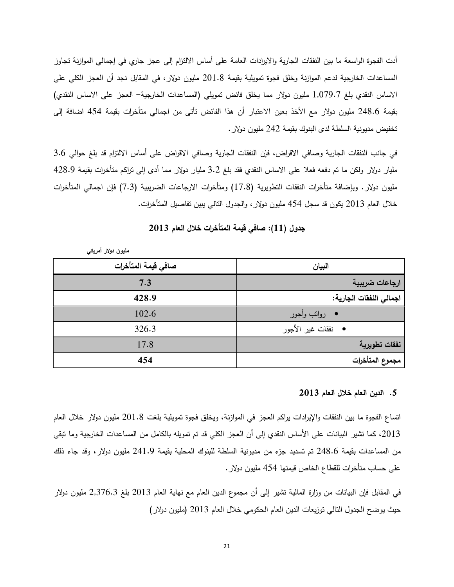أدت الفجوة الواسعة ما بين النفقات الجارية والايرادات العامة على أساس الالتزام إلى عجز جاري في إجمالي الموازنة تجاوز المساعدات الخارجية لدعم الموازنة وخلق فجوة تمويلية بقيمة 201.8 مليون دولار ، في المقابل نجد أن العجز الكلي علي الاساس النقدي بلغ 1,079.7 مليون دولار مما يخلق فائض تمويلي (المساعدات الخارجية– العجز على الاساس النقدي) بقيمة 248.6 مليون دولار مع الأخذ بعين الاعتبار أن هذا الفائض تأتي من اجمالي متأخرات بقيمة 454 اضافة إلى تخفيض مديونية السلطة لدى البنوك بقيمة 242 مليون دولار .

في جانب النفقات الجارية وصافي الاقراض، فإن النفقات الجارية وصافي الاقراض على أساس الالتزام قد بلغ حوالي 3.6 مليار دولار ولكن ما تم دفعه فعلا على الاساس النقدي فقد بلغ 3.2 مليار دولار مما أدى إلى نزاكم متأخرات بقيمة 428.9 مليون دولار . وبإضافة متأخرات النفقات التطويرية (17.8) ومتأخرات الارجاعات الضريبية (7.3) فإن اجمالي المتأخرات خلال العام 2013 يكون قد سجل 454 مليون دولار ، والجدول التالي يبين نفاصيل المتأخرات.

| مليون دولار أمريكي  |                          |
|---------------------|--------------------------|
| صافى قيمة المتأخرات | البيان                   |
| 7.3                 | ارجاعات ضريبية           |
| 428.9               | اجمالي النفقات الجارية:  |
| 102.6               | رواتب وأجور<br>$\bullet$ |
| 326.3               | •    نفقات غير الأجور    |
| 17.8                | ً نفقات تطويرية          |
| 454                 | مجموع المتأخرات          |

# جدول (11): صافي قيمة المتأخرات خلال العام 2013

# 5. الدين العام خلال العام 2013

اتساع الفجوة ما بين النفقات والإيرادات براكم العجز في الموازنة، ويخلق فجوة تمويلية بلغت 201.8 مليون دولار خلال العام 2013، كما تشير البيانات على الأساس النقدي إلى أن العجز الكلي قد تم تمويله بالكامل من المساعدات الخارجية وما نبقي من المساعدات بقيمة 248.6 تم تسديد جزء من مديونية السلطة للبنوك المحلية بقيمة 241.9 مليون دولار ، وقد جاء ذلك على حساب متأخرات للقطاع الخاص قيمتها 454 مليون دولار .

في المقابل فإن البيانات من وزارة المالية تشير إلى أن مجموع الدين العام مع نـهايـة العام 2013 بلـغ 2,376.3 مليون دولار حيث يوضح الجدول النالي توزيعات الدين العام الحكومي خلال العام 2013 (مليون دولار )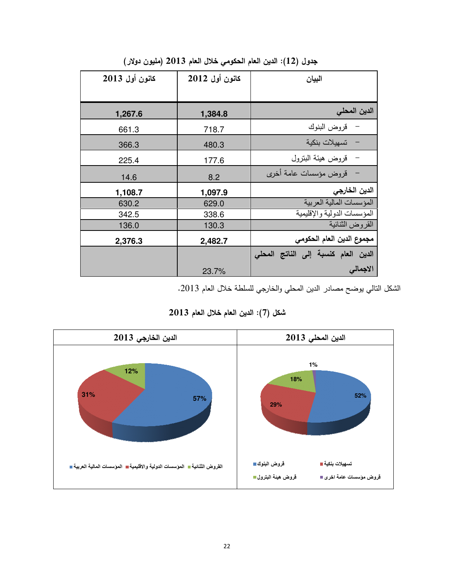| كانون أول 2013 | كانون أول 2012 | البيان                              |
|----------------|----------------|-------------------------------------|
|                |                |                                     |
| 1,267.6        | 1,384.8        | الدين المحلى                        |
| 661.3          | 718.7          | قروض البنوك                         |
| 366.3          | 480.3          | تسهيلات بنكية                       |
| 225.4          | 177.6          | قروض هيئة البنزول                   |
| 14.6           | 8.2            | قروض مؤسسات عامة أخرى               |
| 1,108.7        | 1,097.9        | الدين الخارجي                       |
| 630.2          | 629.0          | المؤسسات المالية العربية            |
| 342.5          | 338.6          | المؤسسات الدولية والإقليمية         |
| 136.0          | 130.3          | القروض الثنائية                     |
| 2,376.3        | 2,482.7        | مجموع الدين العام الحكومي           |
|                |                | الدين العام كنسبة إلى الناتج المحلى |
|                | 23.7%          | الاجمالى                            |

جدول (12): الدين العام الحكومي خلال العام 2013 (مليون دولار)

الشكل التالي يوضح مصادر الدين المحلي والخارجي للسلطة خلال العام 2013.



شكل (7): الدين العام خلال العام 2013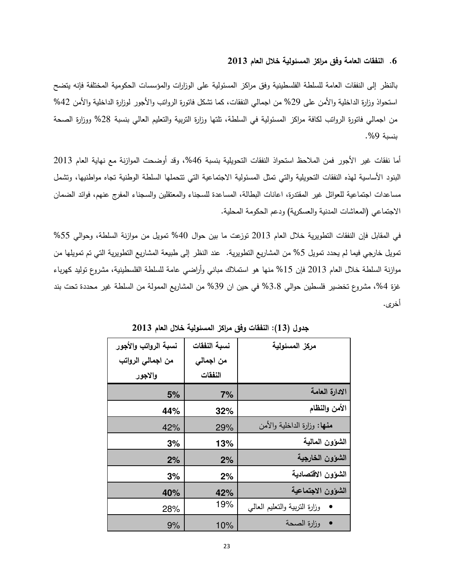#### 6. النفقات العامة وفق مراكز المسئولية خلال العام 2013

بالنظر إلى النفقات العامة للسلطة الفلسطينية وفق مراكز المسئولية على الوزارات والمؤسسات الحكومية المختلفة فإنه يتضح استحواذ وزارة الداخلية والأمن علـي 29% من اجمالـي النفقات، كما تشكل فاتورة الرواتب والأجور لوزارة الداخلية والأمن 42% من اجمالي فانورة الروانب لكافة مراكز المسئولية في السلطة، تلتها وزارة النربية والنعليم العالي بنسبة 28% ووزارة الصحة بنسبة 9%.

أما نفقات غير الأجور فمن الملاحظ استحواذ النفقات التحويلية بنسبة 46%، وقد أوضحت الموازنة مع نهاية العام 2013 البنود الأساسية لهذه النفقات التحويلية والتي تمثل المسئولية الاجتماعية التي تتحملها السلطة الوطنية تجاه مواطنيها، وتشمل مساعدات اجتماعية للعوائل غير المقتدرة، اعانات البطالة، المساعدة للسجناء والمعتقلين والسجناء المفرج عنهم، فوائد الضمان الاجتماعي (المعاشات المدنية والعسكرية) ودعم الحكومة المحلية.

في المقابل فإن النفقات التطويرية خلال العام 2013 نوزعت ما بين حوال 40% تمويل من موازنة السلطة، وحوالي 55% نمويل خارجي فيما لم يحدد تمويل 5% من المشاريع النطويرية. عند النظر إلى طبيعة المشاريع النطويرية التي تم تمويلها من موازنة السلطة خلال العام 2013 فإن 15% منها هو استملاك مبانـي وأراضـي عامة للسلطـة الفلسطينية، مشروع توليد كهرباء غزة 4%، مشروع تخضير فلسطين حوالي 3.8% في حين ان 39% من المشاريع الممولة من السلطة غير محددة تحت بند .<br>أخرى.

| نسبة الرواتب والأجور | نسبة النفقات | مركز المسئولية                 |
|----------------------|--------------|--------------------------------|
| من اجمالي الرواتب    | من اجمالي    |                                |
| والاجور              | النفقات      |                                |
| 5%                   | 7%           | الادارة المعامة                |
| 44%                  | 32%          | الأمن والنظام                  |
| 42%                  | 29%          | منها: وزارة الداخلية والأمن    |
| 3%                   | 13%          | الشؤون المالية                 |
| 2%                   | 2%           | الشوون الخارجية                |
| 3%                   | 2%           | الشؤون الاقتصادية              |
| 40%                  | 42%          | الشؤون الاجتماعية              |
| 28%                  | 19%          | وزارة النزبية والتعليم العالمي |
| 9%                   | 10%          | وزارة الصحة                    |

جدول (13): النفقات وفق مراكز المسئولية خلال العام 2013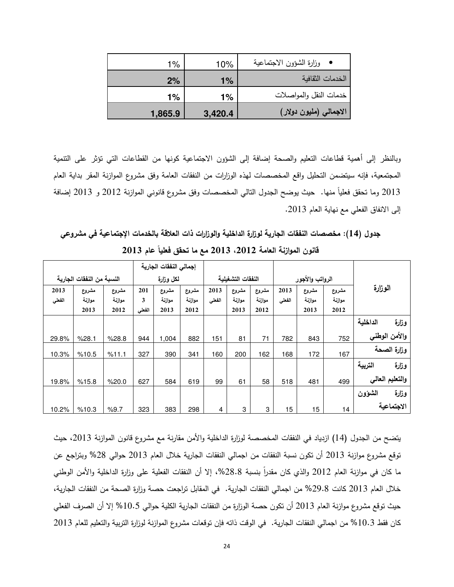| 1%      | 10%     | وزارة الشؤون الاجتماعية |
|---------|---------|-------------------------|
| 2%      | $1\%$   | الخدمات الثقافبة        |
| 1%      | 1%      | خدمات النقل والمواصلات  |
| 1,865.9 | 3,420.4 | الاجمالى (مليون دولار)  |

وبالنظر إلى أهمية قطاعات النعليم والصحة إضافة إلى الشؤون الاجتماعية كونها من القطاعات التي نؤثر على التتمية المجتمعية، فإنه سيتضمن التحليل واقع المخصصات لهذه الوزارات من النفقات العامة وفق مشروع الموازنة المقر بداية العام 2013 وما نتحقق فعلياً منها. حيث يوضح الجدول النالي المخصصات وفق مشروع قانوني الموازنة 2012 و 2013 إضافة إلى الانفاق الفعلي مع نهاية العام 2013.

جدول (14): مخصصات النفقات الجارية لوزارة الداخلية والوزارات ذات العلاقة بالخدمات الإجتماعية في مشروعي قانون الموازنة العامة 2012، 2013 مع ما تحقق فعلياً عام 2013

| الوزارة           |                          |                         |                |                         |                         |                | إجمالي النفقات الجارية  |                         |                   |                           |                         |                |  |
|-------------------|--------------------------|-------------------------|----------------|-------------------------|-------------------------|----------------|-------------------------|-------------------------|-------------------|---------------------------|-------------------------|----------------|--|
|                   | الرواتب والأجور          |                         |                | النفقات التشغيلية       |                         |                | لمكل وزارة              |                         |                   | النسبة من النفقات الجارية |                         |                |  |
|                   | مشروع<br>موازنية<br>2012 | مشروع<br>موازنة<br>2013 | 2013<br>الفعلى | مشروع<br>موازنة<br>2012 | مشروع<br>موازنة<br>2013 | 2013<br>الفعلى | مشروع<br>موازنة<br>2012 | مشروع<br>موازنة<br>2013 | 201<br>3<br>الفطى | مشروع<br>موازنة<br>2012   | مشروع<br>موازنة<br>2013 | 2013<br>الفعلى |  |
| الداخلية<br>وزلرة |                          |                         |                |                         |                         |                |                         |                         |                   |                           |                         |                |  |
| والأمن الوطنى     | 752                      | 843                     | 782            | 71                      | 81                      | 151            | 882                     | 1,004                   | 944               | %28.8                     | %28.1                   | 29.8%          |  |
| وزارة الصحة       | 167                      | 172                     | 168            | 162                     | 200                     | 160            | 341                     | 390                     | 327               | %11.1                     | %10.5                   | 10.3%          |  |
| التربية<br>وزارة  |                          |                         |                |                         |                         |                |                         |                         |                   |                           |                         |                |  |
| والتعليم العالى   | 499                      | 481                     | 518            | 58                      | 61                      | 99             | 619                     | 584                     | 627               | %20.0                     | %15.8                   | 19.8%          |  |
| وزارة<br>الشؤون   |                          |                         |                |                         |                         |                |                         |                         |                   |                           |                         |                |  |
| الاجتماعية        | 14                       | 15                      | 15             | 3                       | 3                       | 4              | 298                     | 383                     | 323               | %9.7                      | %10.3                   | 10.2%          |  |

يتضح من الجدول (14) ازدياد في النفقات المخصصة لوزارة الداخلية والأمن مقارنة مع مشروع قانون الموازنة 2013، حيث توقع مشروع موازنة 2013 أن نكون نسبة النفقات من اجمالي النفقات الجارية خلال العام 2013 حوالي 28% وبتراجع عن ما كان في موازنة العام 2012 والذي كان مقدراً بنسبة 28.8%، إلا أن النفقات الفعلية على وزارة الداخلية والأمن الوطني خلال العام 2013 كانت 29.8% من اجمالي النفقات الجارية. في المقابل نزاجعت حصة وزارة الصحة من النفقات الجارية، حيث نوقع مشروع موازنة العام 2013 أن نكون حصـة الوزارة من النفقات الجارية الكلية حوالي 10.5% إلا أن الصرف الفعلي كان فقط 10.3% من اجمالي النفقات الجارية. في الوقت ذاته فإن نوقعات مشروع الموازنة لوزارة التربية والتعليم للعام 2013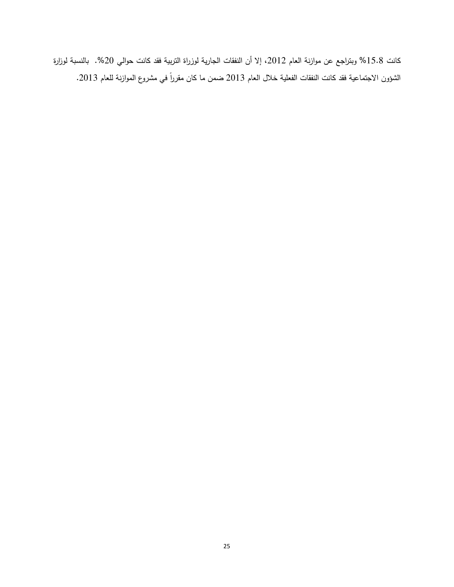كانت 15.8% وبتراجع عن موازنة العام 2012، إلا أن النفقات الجارية لوزراة التربية فقد كانت حوالي 20%. بالنسبة لوزارة الشؤون الاجتماعية فقد كانت النفقات الفعلية خلال العام 2013 ضمن ما كان مقرراً في مشروع الموازنة للعام 2013.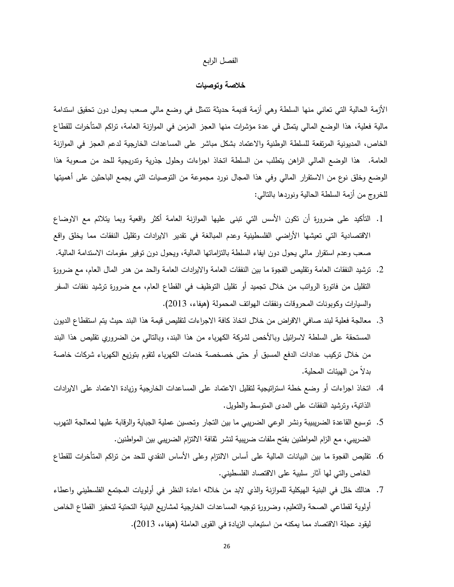#### الفصل الرابع

# خلاصة وتوصيات

الأزمة الحالية التي تعاني منها السلطة وهي أزمة قديمة حديثة نتمثل في وضع مالي صعب يحول دون تحقيق استدامة مالية فعلية، هذا الوضع المالي يتمثَّل في عدة مؤشرات منها العجز المزمن في الموازنة العامة، تراكم المتأخرات للقطاع الخاص، المديونية المرتفعة للسلطة الوطنية والاعتماد بشكل مباشر على المساعدات الخارجية لدعم العجز في الموازنة العامة. هذا الوضع المالي الراهن يتطلب من السلطة انخاذ اجراءات وحلول جذرية وندريجية للحد من صعوبة هذا الوضع وخلق نوع من الاستقرار المالي وفي هذا المجال نورد مجموعة من التوصيات التي يجمع الباحثين على أهميتها للخروج من أزمة السلطة الحالية ونوردها بالنالبي:

- 1. التأكيد على ضرورة أن نكون الأسس التي نبني عليها الموازنة العامة أكثر واقعية وبما يتلائم مع الاوضاع الاقتصادية التي تعيشها الأراضي الفلسطينية وعدم المبالغة في تقدير الايرادات وتقليل النفقات مما يخلق واقع صعب وعدم استقرار مالـي يـحول دون ايفاء السلطـة بالنزامانـها الماليـة، ويـحول دون نوفير مقومات الاستدامـة الماليـة.
- 2. ترشيد النفقات العامة وتقليص الفجوة ما بين النفقات العامة والايرادات العامة والحد من هدر المال العام، مع ضرورة التقليل من فاتورة الرواتب من خلال تجميد أو تقليل التوظيف في القطاع العام، مع ضرورة ترشيد نفقات السفر والسيارات وكوبونات المحروقات ونفقات الهواتف المحمولة (هيفاء، 2013).
- 3. معالجة فعلية لبند صافي الاقراض من خلال اتخاذ كافة الاجراءات لتقليص قيمة هذا البند حيث يتم استقطاع الديون المستحقة على السلطة لاسرائيل وبالأخص لشركة الكهرباء من هذا البند، وبالتالي من الضروري تقليص هذا البند من خلال تركيب عدادات الدفع المسبق أو حتى خصخصة خدمات الكهرباء لتقوم بتوزيع الكهرباء شركات خاصة بدلاً من الهبئات المحلبة.
- 4. اتخاذ اجراءات أو وضع خطة استراتيجية لتقليل الاعتماد على المساعدات الخارجية وزيادة الاعتماد على الايرادات الذانية، وترشيد النفقات على المدى المنوسط والطويل.
- 5. توسيع القاعدة الضريبيبة ونشر الوعي الضريبي ما بين التجار وتحسين عملية الجباية والرقابة عليها لمعالجة التهرب الضريبي، مع الزام المواطنين بفتح ملفات ضريبية لنشر ثقافة الالتزام الضريبي بين المواطنين.
- 6. نقليص الفجوة ما بين البيانات المالية على أساس الالتزام وعلى الأساس النقدي للحد من تراكم المتأخرات للقطاع الخاص والتي لها أثار سلبية على الاقتصاد الفلسطيني.
- 7. هنالك خلل في البنية الهيكلية للموازنة والذي لابد من خلاله اعادة النظر في أولويات المجتمع الفلسطيني واعطاء أولوية لقطاعي الصحة والنعليم، وضرورة توجيه المساعدات الخارجية لمشاريع البنية التحتية لتحفيز القطاع الخاص ليقود عجلة الاقتصاد مما يمكنه من استيعاب الزيادة في القوى العاملة (هيفاء، 2013).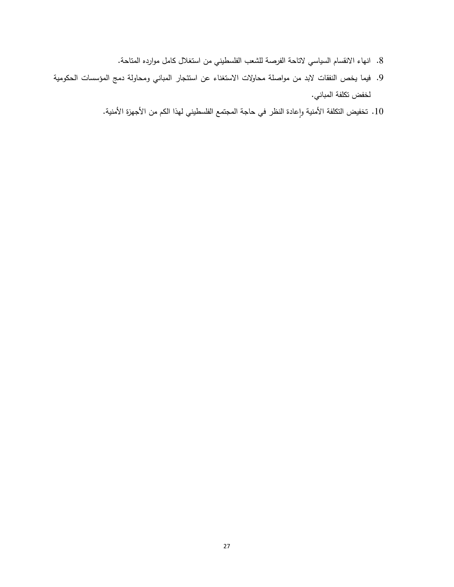- 8. انـهاء الانقسام السياسي لاتاحة الفرصة للشعب الفلسطيني من استغلال كامل موارده المتاحة.
- 9. فيما يخص النفقات لابد من مواصلة محاولات الاستغناء عن استئجار المباني ومحاولة دمج المؤسسات الحكومية لخفض تكلفة المباني.
	- 10. تخفيض النكلفة الأمنية وإعادة النظر في حاجة المجتمع الفلسطيني لهذا الكم من الأجهزة الأمنية.